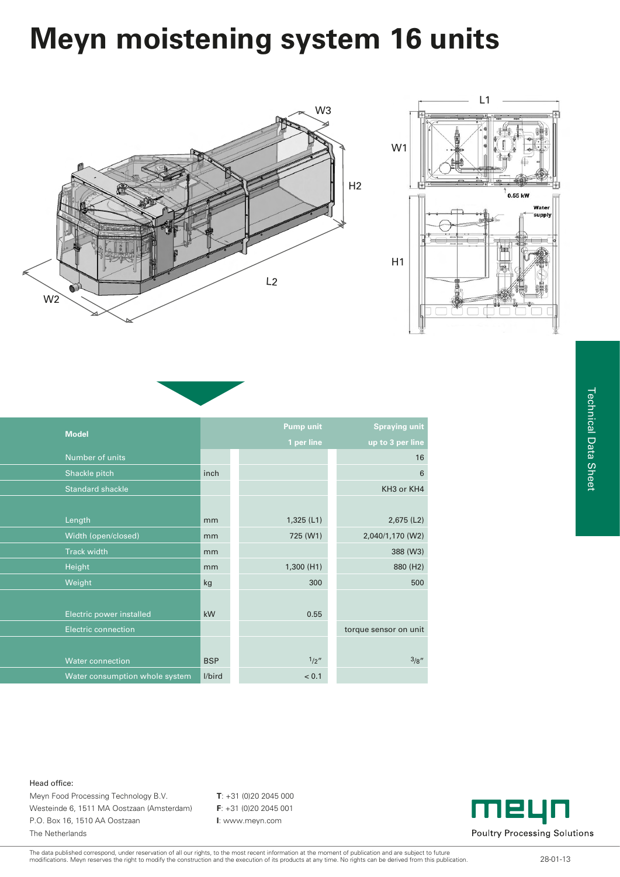## **Meyn moistening system 16 units**



| <b>Model</b>                   |            | <b>Pump unit</b> | <b>Spraying unit</b>  |
|--------------------------------|------------|------------------|-----------------------|
|                                |            | 1 per line       | up to 3 per line      |
| Number of units                |            |                  | 16                    |
| Shackle pitch                  | inch       |                  | 6                     |
| <b>Standard shackle</b>        |            |                  | KH3 or KH4            |
|                                |            |                  |                       |
| Length                         | mm         | 1,325(L1)        | 2,675 (L2)            |
| Width (open/closed)            | mm         | 725 (W1)         | 2,040/1,170 (W2)      |
| <b>Track width</b>             | mm         |                  | 388 (W3)              |
| Height                         | mm         | 1,300 (H1)       | 880 (H2)              |
| Weight                         | kg         | 300              | 500                   |
|                                |            |                  |                       |
| Electric power installed       | kW         | 0.55             |                       |
| <b>Electric connection</b>     |            |                  | torque sensor on unit |
|                                |            |                  |                       |
| <b>Water connection</b>        | <b>BSP</b> | 1/2''            | 3/8''                 |
| Water consumption whole system | l/bird     | < 0.1            |                       |

## 0.55 kW Wate supply

## Head office:

Meyn Food Processing Technology B.V. **T**: +31 (0)20 2045 000 Westeinde 6, 1511 MA Oostzaan (Amsterdam) **F**: +31 (0)20 2045 001 P.O. Box 16, 1510 AA Oostzaan **I**: www.meyn.com The Netherlands



The data published correspond, under reservation of all our rights, to the most recent information at the moment of publication and are subject to future<br>modifications. Meyn reserves the right to modify the construction an